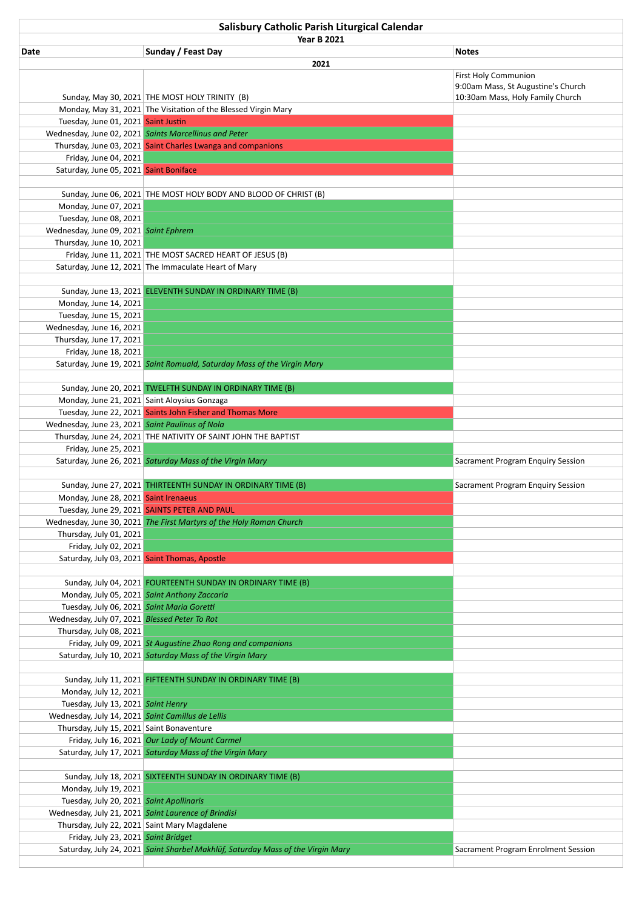| Salisbury Catholic Parish Liturgical Calendar       |                                                                                 |                                                                   |  |  |
|-----------------------------------------------------|---------------------------------------------------------------------------------|-------------------------------------------------------------------|--|--|
| <b>Year B 2021</b>                                  |                                                                                 |                                                                   |  |  |
| Date                                                | Sunday / Feast Day                                                              | <b>Notes</b>                                                      |  |  |
|                                                     | 2021                                                                            |                                                                   |  |  |
|                                                     |                                                                                 | <b>First Holy Communion</b><br>9:00am Mass, St Augustine's Church |  |  |
|                                                     | Sunday, May 30, 2021 THE MOST HOLY TRINITY (B)                                  | 10:30am Mass, Holy Family Church                                  |  |  |
|                                                     | Monday, May 31, 2021 The Visitation of the Blessed Virgin Mary                  |                                                                   |  |  |
| Tuesday, June 01, 2021 Saint Justin                 |                                                                                 |                                                                   |  |  |
|                                                     | Wednesday, June 02, 2021 Saints Marcellinus and Peter                           |                                                                   |  |  |
|                                                     | Thursday, June 03, 2021 Saint Charles Lwanga and companions                     |                                                                   |  |  |
| Friday, June 04, 2021                               |                                                                                 |                                                                   |  |  |
| Saturday, June 05, 2021 Saint Boniface              |                                                                                 |                                                                   |  |  |
|                                                     |                                                                                 |                                                                   |  |  |
|                                                     | Sunday, June 06, 2021 THE MOST HOLY BODY AND BLOOD OF CHRIST (B)                |                                                                   |  |  |
| Monday, June 07, 2021<br>Tuesday, June 08, 2021     |                                                                                 |                                                                   |  |  |
| Wednesday, June 09, 2021 Saint Ephrem               |                                                                                 |                                                                   |  |  |
| Thursday, June 10, 2021                             |                                                                                 |                                                                   |  |  |
|                                                     | Friday, June 11, 2021 THE MOST SACRED HEART OF JESUS (B)                        |                                                                   |  |  |
|                                                     | Saturday, June 12, 2021 The Immaculate Heart of Mary                            |                                                                   |  |  |
|                                                     |                                                                                 |                                                                   |  |  |
|                                                     | Sunday, June 13, 2021 ELEVENTH SUNDAY IN ORDINARY TIME (B)                      |                                                                   |  |  |
| Monday, June 14, 2021                               |                                                                                 |                                                                   |  |  |
| Tuesday, June 15, 2021                              |                                                                                 |                                                                   |  |  |
| Wednesday, June 16, 2021                            |                                                                                 |                                                                   |  |  |
| Thursday, June 17, 2021                             |                                                                                 |                                                                   |  |  |
| Friday, June 18, 2021                               |                                                                                 |                                                                   |  |  |
|                                                     | Saturday, June 19, 2021 Saint Romuald, Saturday Mass of the Virgin Mary         |                                                                   |  |  |
|                                                     | Sunday, June 20, 2021 TWELFTH SUNDAY IN ORDINARY TIME (B)                       |                                                                   |  |  |
|                                                     | Monday, June 21, 2021 Saint Aloysius Gonzaga                                    |                                                                   |  |  |
|                                                     | Tuesday, June 22, 2021 Saints John Fisher and Thomas More                       |                                                                   |  |  |
| Wednesday, June 23, 2021 Saint Paulinus of Nola     |                                                                                 |                                                                   |  |  |
|                                                     | Thursday, June 24, 2021 THE NATIVITY OF SAINT JOHN THE BAPTIST                  |                                                                   |  |  |
| Friday, June 25, 2021                               |                                                                                 |                                                                   |  |  |
|                                                     | Saturday, June 26, 2021 Saturday Mass of the Virgin Mary                        | Sacrament Program Enquiry Session                                 |  |  |
|                                                     |                                                                                 |                                                                   |  |  |
|                                                     | Sunday, June 27, 2021 THIRTEENTH SUNDAY IN ORDINARY TIME (B)                    | Sacrament Program Enquiry Session                                 |  |  |
| Monday, June 28, 2021 Saint Irenaeus                |                                                                                 |                                                                   |  |  |
|                                                     | Tuesday, June 29, 2021 SAINTS PETER AND PAUL                                    |                                                                   |  |  |
| Thursday, July 01, 2021                             | Wednesday, June 30, 2021 The First Martyrs of the Holy Roman Church             |                                                                   |  |  |
| Friday, July 02, 2021                               |                                                                                 |                                                                   |  |  |
|                                                     |                                                                                 |                                                                   |  |  |
|                                                     |                                                                                 |                                                                   |  |  |
| Saturday, July 03, 2021 Saint Thomas, Apostle       |                                                                                 |                                                                   |  |  |
|                                                     | Sunday, July 04, 2021 FOURTEENTH SUNDAY IN ORDINARY TIME (B)                    |                                                                   |  |  |
|                                                     | Monday, July 05, 2021 Saint Anthony Zaccaria                                    |                                                                   |  |  |
| Tuesday, July 06, 2021 Saint Maria Goretti          |                                                                                 |                                                                   |  |  |
| Wednesday, July 07, 2021 Blessed Peter To Rot       |                                                                                 |                                                                   |  |  |
| Thursday, July 08, 2021                             |                                                                                 |                                                                   |  |  |
|                                                     | Friday, July 09, 2021 St Augustine Zhao Rong and companions                     |                                                                   |  |  |
|                                                     | Saturday, July 10, 2021 Saturday Mass of the Virgin Mary                        |                                                                   |  |  |
|                                                     |                                                                                 |                                                                   |  |  |
|                                                     | Sunday, July 11, 2021 FIFTEENTH SUNDAY IN ORDINARY TIME (B)                     |                                                                   |  |  |
| Monday, July 12, 2021                               |                                                                                 |                                                                   |  |  |
| Tuesday, July 13, 2021 Saint Henry                  |                                                                                 |                                                                   |  |  |
| Wednesday, July 14, 2021 Saint Camillus de Lellis   |                                                                                 |                                                                   |  |  |
| Thursday, July 15, 2021 Saint Bonaventure           | Friday, July 16, 2021 Our Lady of Mount Carmel                                  |                                                                   |  |  |
|                                                     | Saturday, July 17, 2021 Saturday Mass of the Virgin Mary                        |                                                                   |  |  |
|                                                     |                                                                                 |                                                                   |  |  |
|                                                     | Sunday, July 18, 2021 SIXTEENTH SUNDAY IN ORDINARY TIME (B)                     |                                                                   |  |  |
| Monday, July 19, 2021                               |                                                                                 |                                                                   |  |  |
| Tuesday, July 20, 2021 Saint Apollinaris            |                                                                                 |                                                                   |  |  |
| Wednesday, July 21, 2021 Saint Laurence of Brindisi |                                                                                 |                                                                   |  |  |
| Thursday, July 22, 2021 Saint Mary Magdalene        |                                                                                 |                                                                   |  |  |
| Friday, July 23, 2021 Saint Bridget                 | Saturday, July 24, 2021 Saint Sharbel Makhlūf, Saturday Mass of the Virgin Mary | Sacrament Program Enrolment Session                               |  |  |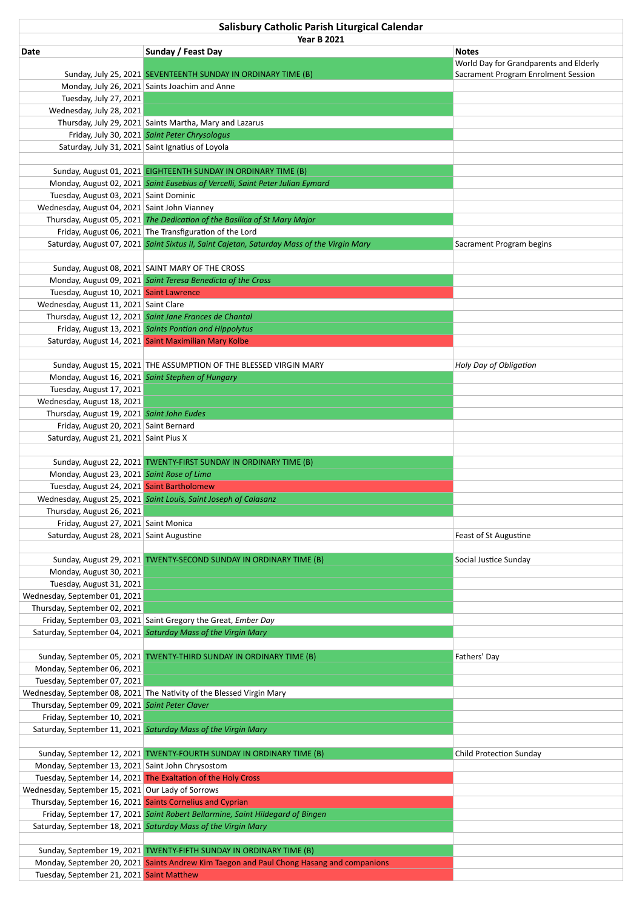| Salisbury Catholic Parish Liturgical Calendar                                     |                                                                                            |                                        |  |  |  |
|-----------------------------------------------------------------------------------|--------------------------------------------------------------------------------------------|----------------------------------------|--|--|--|
|                                                                                   | <b>Year B 2021</b>                                                                         |                                        |  |  |  |
| Date                                                                              | Sunday / Feast Day                                                                         | <b>Notes</b>                           |  |  |  |
|                                                                                   |                                                                                            | World Day for Grandparents and Elderly |  |  |  |
|                                                                                   | Sunday, July 25, 2021 SEVENTEENTH SUNDAY IN ORDINARY TIME (B)                              | Sacrament Program Enrolment Session    |  |  |  |
|                                                                                   | Monday, July 26, 2021 Saints Joachim and Anne                                              |                                        |  |  |  |
| Tuesday, July 27, 2021<br>Wednesday, July 28, 2021                                |                                                                                            |                                        |  |  |  |
|                                                                                   | Thursday, July 29, 2021 Saints Martha, Mary and Lazarus                                    |                                        |  |  |  |
|                                                                                   | Friday, July 30, 2021 Saint Peter Chrysologus                                              |                                        |  |  |  |
|                                                                                   | Saturday, July 31, 2021 Saint Ignatius of Loyola                                           |                                        |  |  |  |
|                                                                                   |                                                                                            |                                        |  |  |  |
|                                                                                   | Sunday, August 01, 2021 EIGHTEENTH SUNDAY IN ORDINARY TIME (B)                             |                                        |  |  |  |
|                                                                                   | Monday, August 02, 2021 Saint Eusebius of Vercelli, Saint Peter Julian Eymard              |                                        |  |  |  |
| Tuesday, August 03, 2021 Saint Dominic                                            |                                                                                            |                                        |  |  |  |
| Wednesday, August 04, 2021 Saint John Vianney                                     |                                                                                            |                                        |  |  |  |
|                                                                                   | Thursday, August 05, 2021 The Dedication of the Basilica of St Mary Major                  |                                        |  |  |  |
|                                                                                   | Friday, August 06, 2021 The Transfiguration of the Lord                                    |                                        |  |  |  |
|                                                                                   | Saturday, August 07, 2021 Saint Sixtus II, Saint Cajetan, Saturday Mass of the Virgin Mary | Sacrament Program begins               |  |  |  |
|                                                                                   |                                                                                            |                                        |  |  |  |
|                                                                                   | Sunday, August 08, 2021 SAINT MARY OF THE CROSS                                            |                                        |  |  |  |
|                                                                                   | Monday, August 09, 2021 Saint Teresa Benedicta of the Cross                                |                                        |  |  |  |
| Tuesday, August 10, 2021 Saint Lawrence                                           |                                                                                            |                                        |  |  |  |
| Wednesday, August 11, 2021 Saint Clare                                            | Thursday, August 12, 2021 Saint Jane Frances de Chantal                                    |                                        |  |  |  |
|                                                                                   | Friday, August 13, 2021 Saints Pontian and Hippolytus                                      |                                        |  |  |  |
|                                                                                   | Saturday, August 14, 2021 Saint Maximilian Mary Kolbe                                      |                                        |  |  |  |
|                                                                                   |                                                                                            |                                        |  |  |  |
|                                                                                   | Sunday, August 15, 2021 THE ASSUMPTION OF THE BLESSED VIRGIN MARY                          | Holy Day of Obligation                 |  |  |  |
|                                                                                   | Monday, August 16, 2021 Saint Stephen of Hungary                                           |                                        |  |  |  |
| Tuesday, August 17, 2021                                                          |                                                                                            |                                        |  |  |  |
| Wednesday, August 18, 2021                                                        |                                                                                            |                                        |  |  |  |
| Thursday, August 19, 2021 Saint John Eudes                                        |                                                                                            |                                        |  |  |  |
| Friday, August 20, 2021 Saint Bernard                                             |                                                                                            |                                        |  |  |  |
| Saturday, August 21, 2021 Saint Pius X                                            |                                                                                            |                                        |  |  |  |
|                                                                                   |                                                                                            |                                        |  |  |  |
|                                                                                   | Sunday, August 22, 2021 TWENTY-FIRST SUNDAY IN ORDINARY TIME (B)                           |                                        |  |  |  |
| Monday, August 23, 2021 Saint Rose of Lima                                        |                                                                                            |                                        |  |  |  |
| Tuesday, August 24, 2021 Saint Bartholomew                                        |                                                                                            |                                        |  |  |  |
|                                                                                   | Wednesday, August 25, 2021 Saint Louis, Saint Joseph of Calasanz                           |                                        |  |  |  |
| Thursday, August 26, 2021                                                         |                                                                                            |                                        |  |  |  |
| Friday, August 27, 2021 Saint Monica<br>Saturday, August 28, 2021 Saint Augustine |                                                                                            | Feast of St Augustine                  |  |  |  |
|                                                                                   |                                                                                            |                                        |  |  |  |
|                                                                                   | Sunday, August 29, 2021 TWENTY-SECOND SUNDAY IN ORDINARY TIME (B)                          | Social Justice Sunday                  |  |  |  |
| Monday, August 30, 2021                                                           |                                                                                            |                                        |  |  |  |
| Tuesday, August 31, 2021                                                          |                                                                                            |                                        |  |  |  |
| Wednesday, September 01, 2021                                                     |                                                                                            |                                        |  |  |  |
| Thursday, September 02, 2021                                                      |                                                                                            |                                        |  |  |  |
|                                                                                   | Friday, September 03, 2021 Saint Gregory the Great, Ember Day                              |                                        |  |  |  |
|                                                                                   | Saturday, September 04, 2021 Saturday Mass of the Virgin Mary                              |                                        |  |  |  |
|                                                                                   |                                                                                            |                                        |  |  |  |
|                                                                                   | Sunday, September 05, 2021 TWENTY-THIRD SUNDAY IN ORDINARY TIME (B)                        | Fathers' Day                           |  |  |  |
| Monday, September 06, 2021                                                        |                                                                                            |                                        |  |  |  |
| Tuesday, September 07, 2021                                                       |                                                                                            |                                        |  |  |  |
|                                                                                   | Wednesday, September 08, 2021 The Nativity of the Blessed Virgin Mary                      |                                        |  |  |  |
| Thursday, September 09, 2021 Saint Peter Claver                                   |                                                                                            |                                        |  |  |  |
| Friday, September 10, 2021                                                        |                                                                                            |                                        |  |  |  |
|                                                                                   | Saturday, September 11, 2021 Saturday Mass of the Virgin Mary                              |                                        |  |  |  |
|                                                                                   |                                                                                            |                                        |  |  |  |
| Monday, September 13, 2021 Saint John Chrysostom                                  | Sunday, September 12, 2021 TWENTY-FOURTH SUNDAY IN ORDINARY TIME (B)                       | Child Protection Sunday                |  |  |  |
|                                                                                   | Tuesday, September 14, 2021 The Exaltation of the Holy Cross                               |                                        |  |  |  |
| Wednesday, September 15, 2021 Our Lady of Sorrows                                 |                                                                                            |                                        |  |  |  |
| Thursday, September 16, 2021 Saints Cornelius and Cyprian                         |                                                                                            |                                        |  |  |  |
|                                                                                   | Friday, September 17, 2021 Saint Robert Bellarmine, Saint Hildegard of Bingen              |                                        |  |  |  |
|                                                                                   | Saturday, September 18, 2021 Saturday Mass of the Virgin Mary                              |                                        |  |  |  |
|                                                                                   |                                                                                            |                                        |  |  |  |
|                                                                                   | Sunday, September 19, 2021 TWENTY-FIFTH SUNDAY IN ORDINARY TIME (B)                        |                                        |  |  |  |
|                                                                                   | Monday, September 20, 2021 Saints Andrew Kim Taegon and Paul Chong Hasang and companions   |                                        |  |  |  |
| Tuesday, September 21, 2021 Saint Matthew                                         |                                                                                            |                                        |  |  |  |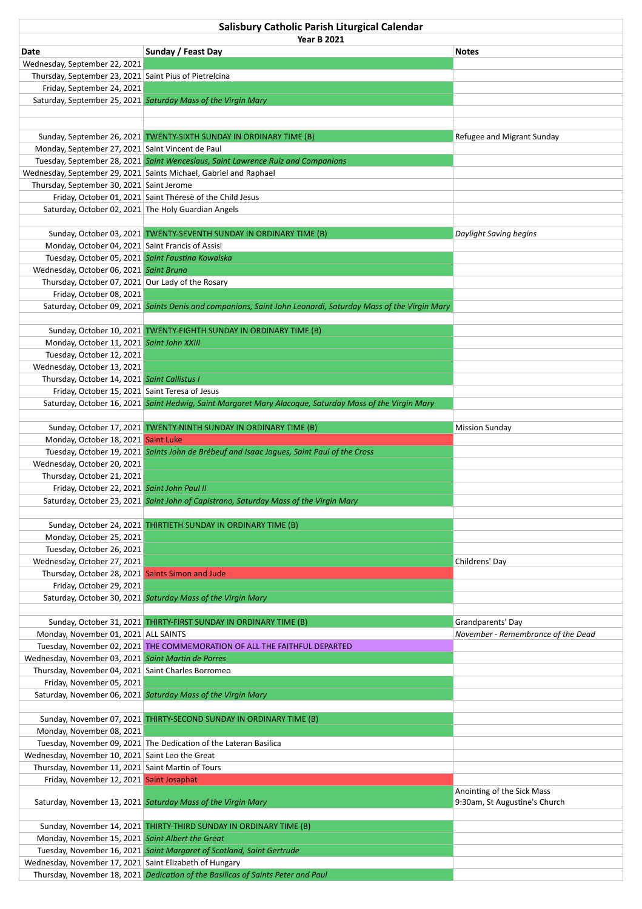| Salisbury Catholic Parish Liturgical Calendar                                   |                                                                                                               |                                                             |  |  |
|---------------------------------------------------------------------------------|---------------------------------------------------------------------------------------------------------------|-------------------------------------------------------------|--|--|
|                                                                                 | <b>Year B 2021</b>                                                                                            |                                                             |  |  |
| Date                                                                            | Sunday / Feast Day                                                                                            | <b>Notes</b>                                                |  |  |
| Wednesday, September 22, 2021                                                   |                                                                                                               |                                                             |  |  |
| Thursday, September 23, 2021 Saint Pius of Pietrelcina                          |                                                                                                               |                                                             |  |  |
| Friday, September 24, 2021                                                      | Saturday, September 25, 2021 Saturday Mass of the Virgin Mary                                                 |                                                             |  |  |
|                                                                                 |                                                                                                               |                                                             |  |  |
|                                                                                 |                                                                                                               |                                                             |  |  |
|                                                                                 | Sunday, September 26, 2021 TWENTY-SIXTH SUNDAY IN ORDINARY TIME (B)                                           | Refugee and Migrant Sunday                                  |  |  |
| Monday, September 27, 2021 Saint Vincent de Paul                                |                                                                                                               |                                                             |  |  |
|                                                                                 | Tuesday, September 28, 2021 Saint Wenceslaus, Saint Lawrence Ruiz and Companions                              |                                                             |  |  |
|                                                                                 | Wednesday, September 29, 2021 Saints Michael, Gabriel and Raphael                                             |                                                             |  |  |
| Thursday, September 30, 2021 Saint Jerome                                       |                                                                                                               |                                                             |  |  |
|                                                                                 | Friday, October 01, 2021 Saint Thérese of the Child Jesus                                                     |                                                             |  |  |
| Saturday, October 02, 2021 The Holy Guardian Angels                             |                                                                                                               |                                                             |  |  |
|                                                                                 |                                                                                                               |                                                             |  |  |
| Monday, October 04, 2021 Saint Francis of Assisi                                | Sunday, October 03, 2021 TWENTY-SEVENTH SUNDAY IN ORDINARY TIME (B)                                           | Daylight Saving begins                                      |  |  |
| Tuesday, October 05, 2021 Saint Faustina Kowalska                               |                                                                                                               |                                                             |  |  |
| Wednesday, October 06, 2021 Saint Bruno                                         |                                                                                                               |                                                             |  |  |
| Thursday, October 07, 2021 Our Lady of the Rosary                               |                                                                                                               |                                                             |  |  |
| Friday, October 08, 2021                                                        |                                                                                                               |                                                             |  |  |
|                                                                                 | Saturday, October 09, 2021 Saints Denis and companions, Saint John Leonardi, Saturday Mass of the Virgin Mary |                                                             |  |  |
|                                                                                 |                                                                                                               |                                                             |  |  |
|                                                                                 | Sunday, October 10, 2021 TWENTY-EIGHTH SUNDAY IN ORDINARY TIME (B)                                            |                                                             |  |  |
| Monday, October 11, 2021 Saint John XXIII                                       |                                                                                                               |                                                             |  |  |
| Tuesday, October 12, 2021                                                       |                                                                                                               |                                                             |  |  |
| Wednesday, October 13, 2021                                                     |                                                                                                               |                                                             |  |  |
| Thursday, October 14, 2021 Saint Callistus I                                    |                                                                                                               |                                                             |  |  |
| Friday, October 15, 2021 Saint Teresa of Jesus                                  | Saturday, October 16, 2021 Saint Hedwig, Saint Margaret Mary Alacoque, Saturday Mass of the Virgin Mary       |                                                             |  |  |
|                                                                                 |                                                                                                               |                                                             |  |  |
|                                                                                 | Sunday, October 17, 2021 TWENTY-NINTH SUNDAY IN ORDINARY TIME (B)                                             | <b>Mission Sunday</b>                                       |  |  |
| Monday, October 18, 2021 Saint Luke                                             |                                                                                                               |                                                             |  |  |
|                                                                                 | Tuesday, October 19, 2021 Saints John de Brébeuf and Isaac Jogues, Saint Paul of the Cross                    |                                                             |  |  |
| Wednesday, October 20, 2021                                                     |                                                                                                               |                                                             |  |  |
| Thursday, October 21, 2021                                                      |                                                                                                               |                                                             |  |  |
| Friday, October 22, 2021 Saint John Paul II                                     |                                                                                                               |                                                             |  |  |
|                                                                                 | Saturday, October 23, 2021 Saint John of Capistrano, Saturday Mass of the Virgin Mary                         |                                                             |  |  |
|                                                                                 |                                                                                                               |                                                             |  |  |
|                                                                                 | Sunday, October 24, 2021 THIRTIETH SUNDAY IN ORDINARY TIME (B)                                                |                                                             |  |  |
| Monday, October 25, 2021<br>Tuesday, October 26, 2021                           |                                                                                                               |                                                             |  |  |
| Wednesday, October 27, 2021                                                     |                                                                                                               | Childrens' Day                                              |  |  |
| Thursday, October 28, 2021 Saints Simon and Jude                                |                                                                                                               |                                                             |  |  |
| Friday, October 29, 2021                                                        |                                                                                                               |                                                             |  |  |
|                                                                                 | Saturday, October 30, 2021 Saturday Mass of the Virgin Mary                                                   |                                                             |  |  |
|                                                                                 |                                                                                                               |                                                             |  |  |
|                                                                                 | Sunday, October 31, 2021 THIRTY-FIRST SUNDAY IN ORDINARY TIME (B)                                             | Grandparents' Day                                           |  |  |
| Monday, November 01, 2021 ALL SAINTS                                            |                                                                                                               | November - Remembrance of the Dead                          |  |  |
|                                                                                 | Tuesday, November 02, 2021 THE COMMEMORATION OF ALL THE FAITHFUL DEPARTED                                     |                                                             |  |  |
| Wednesday, November 03, 2021 Saint Martin de Porres                             |                                                                                                               |                                                             |  |  |
| Thursday, November 04, 2021 Saint Charles Borromeo<br>Friday, November 05, 2021 |                                                                                                               |                                                             |  |  |
|                                                                                 | Saturday, November 06, 2021 Saturday Mass of the Virgin Mary                                                  |                                                             |  |  |
|                                                                                 |                                                                                                               |                                                             |  |  |
|                                                                                 | Sunday, November 07, 2021 THIRTY-SECOND SUNDAY IN ORDINARY TIME (B)                                           |                                                             |  |  |
| Monday, November 08, 2021                                                       |                                                                                                               |                                                             |  |  |
|                                                                                 | Tuesday, November 09, 2021 The Dedication of the Lateran Basilica                                             |                                                             |  |  |
| Wednesday, November 10, 2021 Saint Leo the Great                                |                                                                                                               |                                                             |  |  |
| Thursday, November 11, 2021 Saint Martin of Tours                               |                                                                                                               |                                                             |  |  |
| Friday, November 12, 2021 Saint Josaphat                                        |                                                                                                               |                                                             |  |  |
|                                                                                 | Saturday, November 13, 2021 Saturday Mass of the Virgin Mary                                                  | Anointing of the Sick Mass<br>9:30am, St Augustine's Church |  |  |
|                                                                                 |                                                                                                               |                                                             |  |  |
|                                                                                 | Sunday, November 14, 2021 THIRTY-THIRD SUNDAY IN ORDINARY TIME (B)                                            |                                                             |  |  |
| Monday, November 15, 2021 Saint Albert the Great                                |                                                                                                               |                                                             |  |  |
|                                                                                 | Tuesday, November 16, 2021 Saint Margaret of Scotland, Saint Gertrude                                         |                                                             |  |  |
| Wednesday, November 17, 2021 Saint Elizabeth of Hungary                         |                                                                                                               |                                                             |  |  |
|                                                                                 | Thursday, November 18, 2021 Dedication of the Basilicas of Saints Peter and Paul                              |                                                             |  |  |